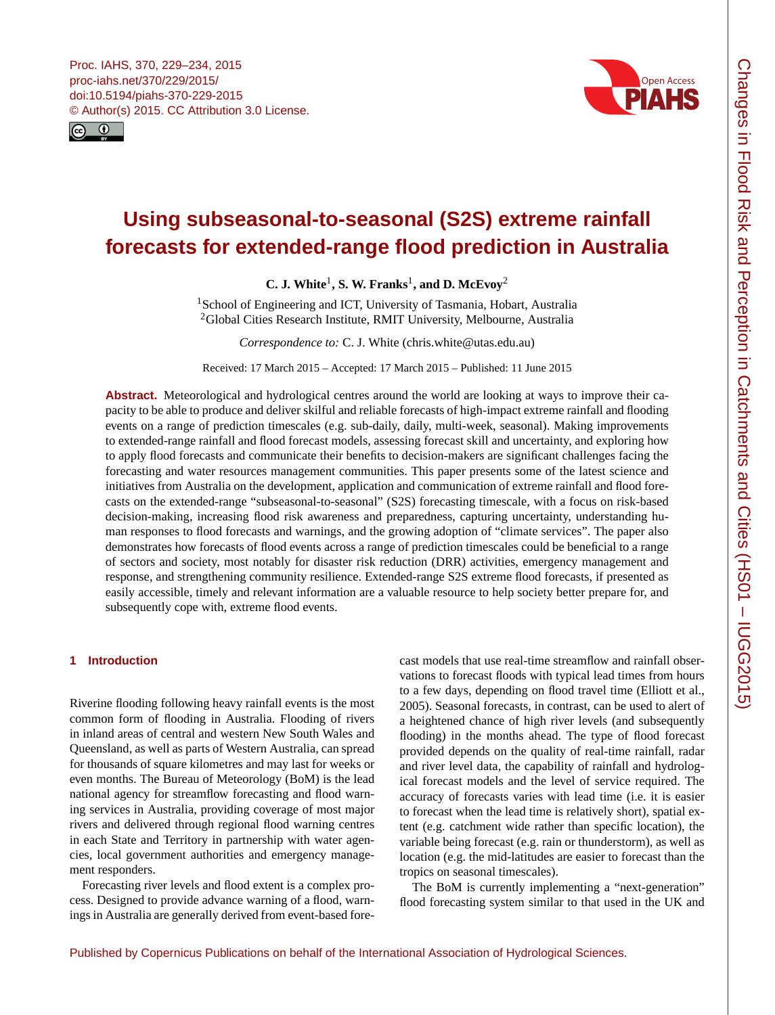<span id="page-0-1"></span>



# **Using subseasonal-to-seasonal (S2S) extreme rainfall forecasts for extended-range flood prediction in Australia**

**C. J. White**[1](#page-0-0) **, S. W. Franks**[1](#page-0-0) **, and D. McEvoy**[2](#page-0-0)

<sup>1</sup>School of Engineering and ICT, University of Tasmania, Hobart, Australia <sup>2</sup>Global Cities Research Institute, RMIT University, Melbourne, Australia

*Correspondence to:* C. J. White (chris.white@utas.edu.au)

Received: 17 March 2015 – Accepted: 17 March 2015 – Published: 11 June 2015

**Abstract.** Meteorological and hydrological centres around the world are looking at ways to improve their capacity to be able to produce and deliver skilful and reliable forecasts of high-impact extreme rainfall and flooding events on a range of prediction timescales (e.g. sub-daily, daily, multi-week, seasonal). Making improvements to extended-range rainfall and flood forecast models, assessing forecast skill and uncertainty, and exploring how to apply flood forecasts and communicate their benefits to decision-makers are significant challenges facing the forecasting and water resources management communities. This paper presents some of the latest science and initiatives from Australia on the development, application and communication of extreme rainfall and flood forecasts on the extended-range "subseasonal-to-seasonal" (S2S) forecasting timescale, with a focus on risk-based decision-making, increasing flood risk awareness and preparedness, capturing uncertainty, understanding human responses to flood forecasts and warnings, and the growing adoption of "climate services". The paper also demonstrates how forecasts of flood events across a range of prediction timescales could be beneficial to a range of sectors and society, most notably for disaster risk reduction (DRR) activities, emergency management and response, and strengthening community resilience. Extended-range S2S extreme flood forecasts, if presented as easily accessible, timely and relevant information are a valuable resource to help society better prepare for, and subsequently cope with, extreme flood events.

# <span id="page-0-0"></span>**1 Introduction**

Riverine flooding following heavy rainfall events is the most common form of flooding in Australia. Flooding of rivers in inland areas of central and western New South Wales and Queensland, as well as parts of Western Australia, can spread for thousands of square kilometres and may last for weeks or even months. The Bureau of Meteorology (BoM) is the lead national agency for streamflow forecasting and flood warning services in Australia, providing coverage of most major rivers and delivered through regional flood warning centres in each State and Territory in partnership with water agencies, local government authorities and emergency management responders.

Forecasting river levels and flood extent is a complex process. Designed to provide advance warning of a flood, warnings in Australia are generally derived from event-based forecast models that use real-time streamflow and rainfall observations to forecast floods with typical lead times from hours to a few days, depending on flood travel time (Elliott et al., 2005). Seasonal forecasts, in contrast, can be used to alert of a heightened chance of high river levels (and subsequently flooding) in the months ahead. The type of flood forecast provided depends on the quality of real-time rainfall, radar and river level data, the capability of rainfall and hydrological forecast models and the level of service required. The accuracy of forecasts varies with lead time (i.e. it is easier to forecast when the lead time is relatively short), spatial extent (e.g. catchment wide rather than specific location), the variable being forecast (e.g. rain or thunderstorm), as well as location (e.g. the mid-latitudes are easier to forecast than the tropics on seasonal timescales).

The BoM is currently implementing a "next-generation" flood forecasting system similar to that used in the UK and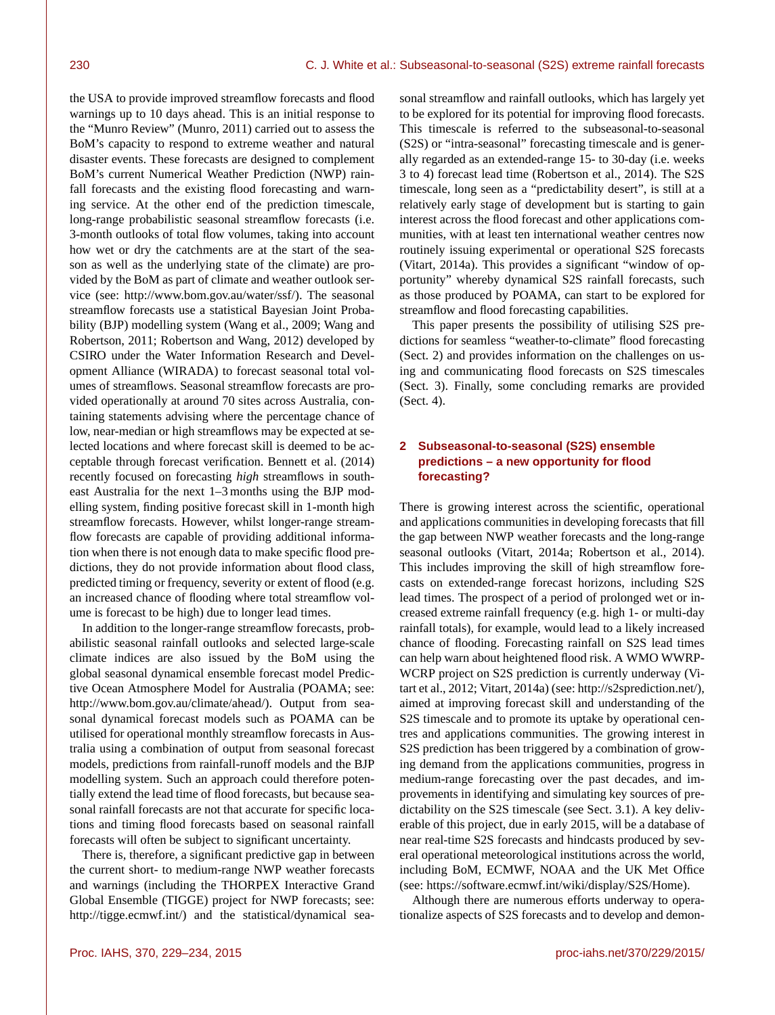the USA to provide improved streamflow forecasts and flood warnings up to 10 days ahead. This is an initial response to the "Munro Review" (Munro, 2011) carried out to assess the BoM's capacity to respond to extreme weather and natural disaster events. These forecasts are designed to complement BoM's current Numerical Weather Prediction (NWP) rainfall forecasts and the existing flood forecasting and warning service. At the other end of the prediction timescale, long-range probabilistic seasonal streamflow forecasts (i.e. 3-month outlooks of total flow volumes, taking into account how wet or dry the catchments are at the start of the season as well as the underlying state of the climate) are provided by the BoM as part of climate and weather outlook service (see: [http://www.bom.gov.au/water/ssf/\)](http://www.bom.gov.au/water/ssf/). The seasonal streamflow forecasts use a statistical Bayesian Joint Probability (BJP) modelling system (Wang et al., 2009; Wang and Robertson, 2011; Robertson and Wang, 2012) developed by CSIRO under the Water Information Research and Development Alliance (WIRADA) to forecast seasonal total volumes of streamflows. Seasonal streamflow forecasts are provided operationally at around 70 sites across Australia, containing statements advising where the percentage chance of low, near-median or high streamflows may be expected at selected locations and where forecast skill is deemed to be acceptable through forecast verification. Bennett et al. (2014) recently focused on forecasting *high* streamflows in southeast Australia for the next 1–3 months using the BJP modelling system, finding positive forecast skill in 1-month high streamflow forecasts. However, whilst longer-range streamflow forecasts are capable of providing additional information when there is not enough data to make specific flood predictions, they do not provide information about flood class, predicted timing or frequency, severity or extent of flood (e.g. an increased chance of flooding where total streamflow volume is forecast to be high) due to longer lead times.

In addition to the longer-range streamflow forecasts, probabilistic seasonal rainfall outlooks and selected large-scale climate indices are also issued by the BoM using the global seasonal dynamical ensemble forecast model Predictive Ocean Atmosphere Model for Australia (POAMA; see: [http://www.bom.gov.au/climate/ahead/\)](http://www.bom.gov.au/climate/ahead/). Output from seasonal dynamical forecast models such as POAMA can be utilised for operational monthly streamflow forecasts in Australia using a combination of output from seasonal forecast models, predictions from rainfall-runoff models and the BJP modelling system. Such an approach could therefore potentially extend the lead time of flood forecasts, but because seasonal rainfall forecasts are not that accurate for specific locations and timing flood forecasts based on seasonal rainfall forecasts will often be subject to significant uncertainty.

There is, therefore, a significant predictive gap in between the current short- to medium-range NWP weather forecasts and warnings (including the THORPEX Interactive Grand Global Ensemble (TIGGE) project for NWP forecasts; see: [http://tigge.ecmwf.int/\)](http://tigge.ecmwf.int/) and the statistical/dynamical seasonal streamflow and rainfall outlooks, which has largely yet to be explored for its potential for improving flood forecasts. This timescale is referred to the subseasonal-to-seasonal (S2S) or "intra-seasonal" forecasting timescale and is generally regarded as an extended-range 15- to 30-day (i.e. weeks 3 to 4) forecast lead time (Robertson et al., 2014). The S2S timescale, long seen as a "predictability desert", is still at a relatively early stage of development but is starting to gain interest across the flood forecast and other applications communities, with at least ten international weather centres now routinely issuing experimental or operational S2S forecasts (Vitart, 2014a). This provides a significant "window of opportunity" whereby dynamical S2S rainfall forecasts, such as those produced by POAMA, can start to be explored for streamflow and flood forecasting capabilities.

This paper presents the possibility of utilising S2S predictions for seamless "weather-to-climate" flood forecasting (Sect. 2) and provides information on the challenges on using and communicating flood forecasts on S2S timescales (Sect. 3). Finally, some concluding remarks are provided (Sect. 4).

# **2 Subseasonal-to-seasonal (S2S) ensemble predictions – a new opportunity for flood forecasting?**

There is growing interest across the scientific, operational and applications communities in developing forecasts that fill the gap between NWP weather forecasts and the long-range seasonal outlooks (Vitart, 2014a; Robertson et al., 2014). This includes improving the skill of high streamflow forecasts on extended-range forecast horizons, including S2S lead times. The prospect of a period of prolonged wet or increased extreme rainfall frequency (e.g. high 1- or multi-day rainfall totals), for example, would lead to a likely increased chance of flooding. Forecasting rainfall on S2S lead times can help warn about heightened flood risk. A WMO WWRP-WCRP project on S2S prediction is currently underway (Vitart et al., 2012; Vitart, 2014a) (see: [http://s2sprediction.net/\)](http://s2sprediction.net/), aimed at improving forecast skill and understanding of the S2S timescale and to promote its uptake by operational centres and applications communities. The growing interest in S2S prediction has been triggered by a combination of growing demand from the applications communities, progress in medium-range forecasting over the past decades, and improvements in identifying and simulating key sources of predictability on the S2S timescale (see Sect. 3.1). A key deliverable of this project, due in early 2015, will be a database of near real-time S2S forecasts and hindcasts produced by several operational meteorological institutions across the world, including BoM, ECMWF, NOAA and the UK Met Office (see: [https://software.ecmwf.int/wiki/display/S2S/Home\)](https://software.ecmwf.int/wiki/display/S2S/Home).

Although there are numerous efforts underway to operationalize aspects of S2S forecasts and to develop and demon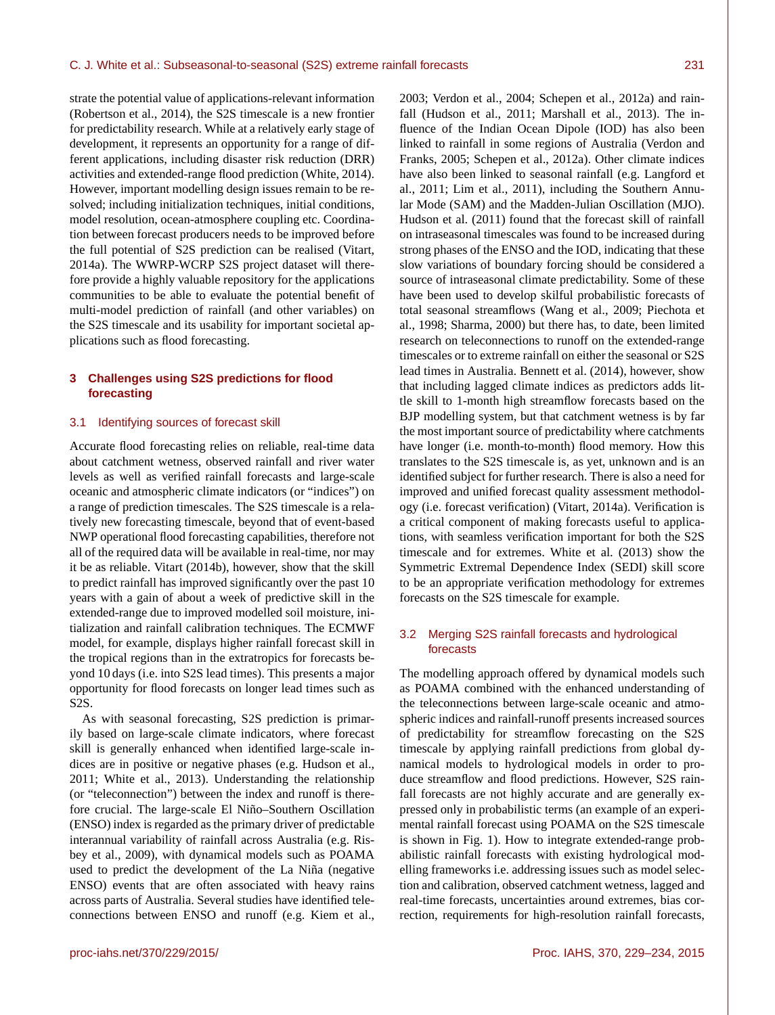strate the potential value of applications-relevant information (Robertson et al., 2014), the S2S timescale is a new frontier for predictability research. While at a relatively early stage of development, it represents an opportunity for a range of different applications, including disaster risk reduction (DRR) activities and extended-range flood prediction (White, 2014). However, important modelling design issues remain to be resolved; including initialization techniques, initial conditions, model resolution, ocean-atmosphere coupling etc. Coordination between forecast producers needs to be improved before the full potential of S2S prediction can be realised (Vitart, 2014a). The WWRP-WCRP S2S project dataset will therefore provide a highly valuable repository for the applications communities to be able to evaluate the potential benefit of multi-model prediction of rainfall (and other variables) on the S2S timescale and its usability for important societal applications such as flood forecasting.

## **3 Challenges using S2S predictions for flood forecasting**

#### 3.1 Identifying sources of forecast skill

Accurate flood forecasting relies on reliable, real-time data about catchment wetness, observed rainfall and river water levels as well as verified rainfall forecasts and large-scale oceanic and atmospheric climate indicators (or "indices") on a range of prediction timescales. The S2S timescale is a relatively new forecasting timescale, beyond that of event-based NWP operational flood forecasting capabilities, therefore not all of the required data will be available in real-time, nor may it be as reliable. Vitart (2014b), however, show that the skill to predict rainfall has improved significantly over the past 10 years with a gain of about a week of predictive skill in the extended-range due to improved modelled soil moisture, initialization and rainfall calibration techniques. The ECMWF model, for example, displays higher rainfall forecast skill in the tropical regions than in the extratropics for forecasts beyond 10 days (i.e. into S2S lead times). This presents a major opportunity for flood forecasts on longer lead times such as S2S.

As with seasonal forecasting, S2S prediction is primarily based on large-scale climate indicators, where forecast skill is generally enhanced when identified large-scale indices are in positive or negative phases (e.g. Hudson et al., 2011; White et al., 2013). Understanding the relationship (or "teleconnection") between the index and runoff is therefore crucial. The large-scale El Niño–Southern Oscillation (ENSO) index is regarded as the primary driver of predictable interannual variability of rainfall across Australia (e.g. Risbey et al., 2009), with dynamical models such as POAMA used to predict the development of the La Niña (negative ENSO) events that are often associated with heavy rains across parts of Australia. Several studies have identified teleconnections between ENSO and runoff (e.g. Kiem et al., 2003; Verdon et al., 2004; Schepen et al., 2012a) and rainfall (Hudson et al., 2011; Marshall et al., 2013). The influence of the Indian Ocean Dipole (IOD) has also been linked to rainfall in some regions of Australia (Verdon and Franks, 2005; Schepen et al., 2012a). Other climate indices have also been linked to seasonal rainfall (e.g. Langford et al., 2011; Lim et al., 2011), including the Southern Annular Mode (SAM) and the Madden-Julian Oscillation (MJO). Hudson et al. (2011) found that the forecast skill of rainfall on intraseasonal timescales was found to be increased during strong phases of the ENSO and the IOD, indicating that these slow variations of boundary forcing should be considered a source of intraseasonal climate predictability. Some of these have been used to develop skilful probabilistic forecasts of total seasonal streamflows (Wang et al., 2009; Piechota et al., 1998; Sharma, 2000) but there has, to date, been limited research on teleconnections to runoff on the extended-range timescales or to extreme rainfall on either the seasonal or S2S lead times in Australia. Bennett et al. (2014), however, show that including lagged climate indices as predictors adds little skill to 1-month high streamflow forecasts based on the BJP modelling system, but that catchment wetness is by far the most important source of predictability where catchments have longer (i.e. month-to-month) flood memory. How this translates to the S2S timescale is, as yet, unknown and is an identified subject for further research. There is also a need for improved and unified forecast quality assessment methodology (i.e. forecast verification) (Vitart, 2014a). Verification is a critical component of making forecasts useful to applications, with seamless verification important for both the S2S timescale and for extremes. White et al. (2013) show the Symmetric Extremal Dependence Index (SEDI) skill score to be an appropriate verification methodology for extremes forecasts on the S2S timescale for example.

## 3.2 Merging S2S rainfall forecasts and hydrological forecasts

The modelling approach offered by dynamical models such as POAMA combined with the enhanced understanding of the teleconnections between large-scale oceanic and atmospheric indices and rainfall-runoff presents increased sources of predictability for streamflow forecasting on the S2S timescale by applying rainfall predictions from global dynamical models to hydrological models in order to produce streamflow and flood predictions. However, S2S rainfall forecasts are not highly accurate and are generally expressed only in probabilistic terms (an example of an experimental rainfall forecast using POAMA on the S2S timescale is shown in Fig. 1). How to integrate extended-range probabilistic rainfall forecasts with existing hydrological modelling frameworks i.e. addressing issues such as model selection and calibration, observed catchment wetness, lagged and real-time forecasts, uncertainties around extremes, bias correction, requirements for high-resolution rainfall forecasts,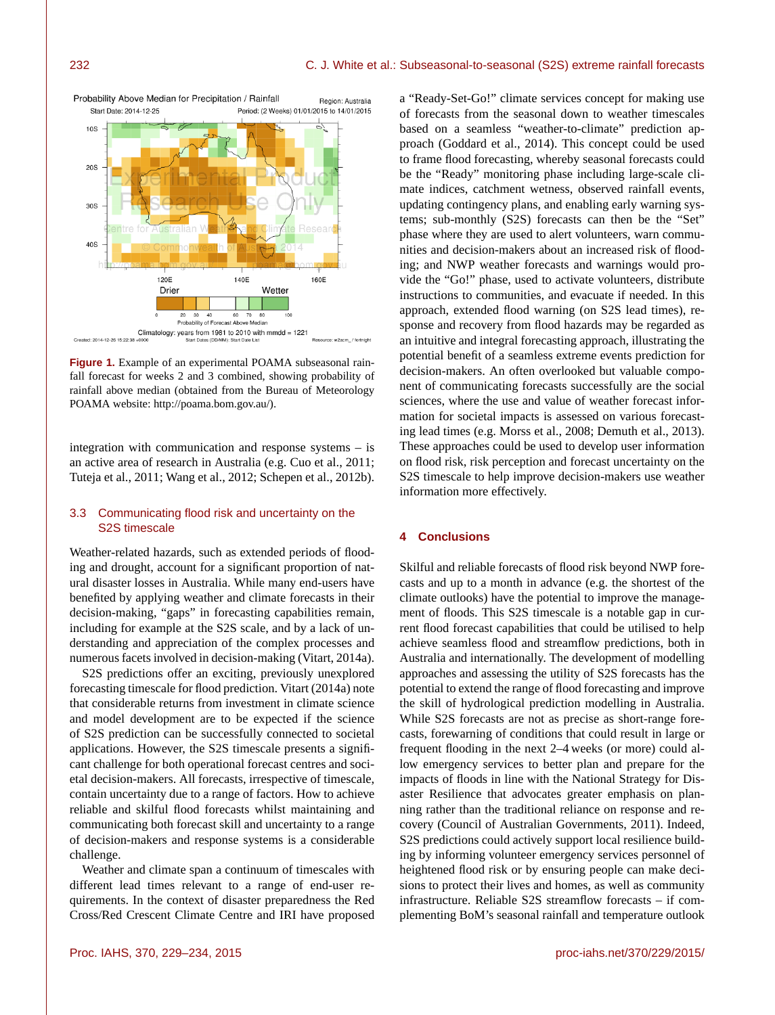

Region: Australia

Probability Above Median for Precipitation / Rainfall

ed: 2014-12-26 15:22:38 -

**Figure 1.** Example of an experimental POAMA subseasonal rainfall forecast for weeks 2 and 3 combined, showing probability of rainfall above median (obtained from the Bureau of Meteorology POAMA website: [http://poama.bom.gov.au/\)](http://poama.bom.gov.au/).

integration with communication and response systems – is an active area of research in Australia (e.g. Cuo et al., 2011; Tuteja et al., 2011; Wang et al., 2012; Schepen et al., 2012b).

## 3.3 Communicating flood risk and uncertainty on the S2S timescale

Weather-related hazards, such as extended periods of flooding and drought, account for a significant proportion of natural disaster losses in Australia. While many end-users have benefited by applying weather and climate forecasts in their decision-making, "gaps" in forecasting capabilities remain, including for example at the S2S scale, and by a lack of understanding and appreciation of the complex processes and numerous facets involved in decision-making (Vitart, 2014a).

S2S predictions offer an exciting, previously unexplored forecasting timescale for flood prediction. Vitart (2014a) note that considerable returns from investment in climate science and model development are to be expected if the science of S2S prediction can be successfully connected to societal applications. However, the S2S timescale presents a significant challenge for both operational forecast centres and societal decision-makers. All forecasts, irrespective of timescale, contain uncertainty due to a range of factors. How to achieve reliable and skilful flood forecasts whilst maintaining and communicating both forecast skill and uncertainty to a range of decision-makers and response systems is a considerable challenge.

Weather and climate span a continuum of timescales with different lead times relevant to a range of end-user requirements. In the context of disaster preparedness the Red Cross/Red Crescent Climate Centre and IRI have proposed a "Ready-Set-Go!" climate services concept for making use of forecasts from the seasonal down to weather timescales based on a seamless "weather-to-climate" prediction approach (Goddard et al., 2014). This concept could be used to frame flood forecasting, whereby seasonal forecasts could be the "Ready" monitoring phase including large-scale climate indices, catchment wetness, observed rainfall events, updating contingency plans, and enabling early warning systems; sub-monthly (S2S) forecasts can then be the "Set" phase where they are used to alert volunteers, warn communities and decision-makers about an increased risk of flooding; and NWP weather forecasts and warnings would provide the "Go!" phase, used to activate volunteers, distribute instructions to communities, and evacuate if needed. In this approach, extended flood warning (on S2S lead times), response and recovery from flood hazards may be regarded as an intuitive and integral forecasting approach, illustrating the potential benefit of a seamless extreme events prediction for decision-makers. An often overlooked but valuable component of communicating forecasts successfully are the social sciences, where the use and value of weather forecast information for societal impacts is assessed on various forecasting lead times (e.g. Morss et al., 2008; Demuth et al., 2013). These approaches could be used to develop user information on flood risk, risk perception and forecast uncertainty on the S2S timescale to help improve decision-makers use weather information more effectively.

## **4 Conclusions**

Skilful and reliable forecasts of flood risk beyond NWP forecasts and up to a month in advance (e.g. the shortest of the climate outlooks) have the potential to improve the management of floods. This S2S timescale is a notable gap in current flood forecast capabilities that could be utilised to help achieve seamless flood and streamflow predictions, both in Australia and internationally. The development of modelling approaches and assessing the utility of S2S forecasts has the potential to extend the range of flood forecasting and improve the skill of hydrological prediction modelling in Australia. While S2S forecasts are not as precise as short-range forecasts, forewarning of conditions that could result in large or frequent flooding in the next 2–4 weeks (or more) could allow emergency services to better plan and prepare for the impacts of floods in line with the National Strategy for Disaster Resilience that advocates greater emphasis on planning rather than the traditional reliance on response and recovery (Council of Australian Governments, 2011). Indeed, S2S predictions could actively support local resilience building by informing volunteer emergency services personnel of heightened flood risk or by ensuring people can make decisions to protect their lives and homes, as well as community infrastructure. Reliable S2S streamflow forecasts – if complementing BoM's seasonal rainfall and temperature outlook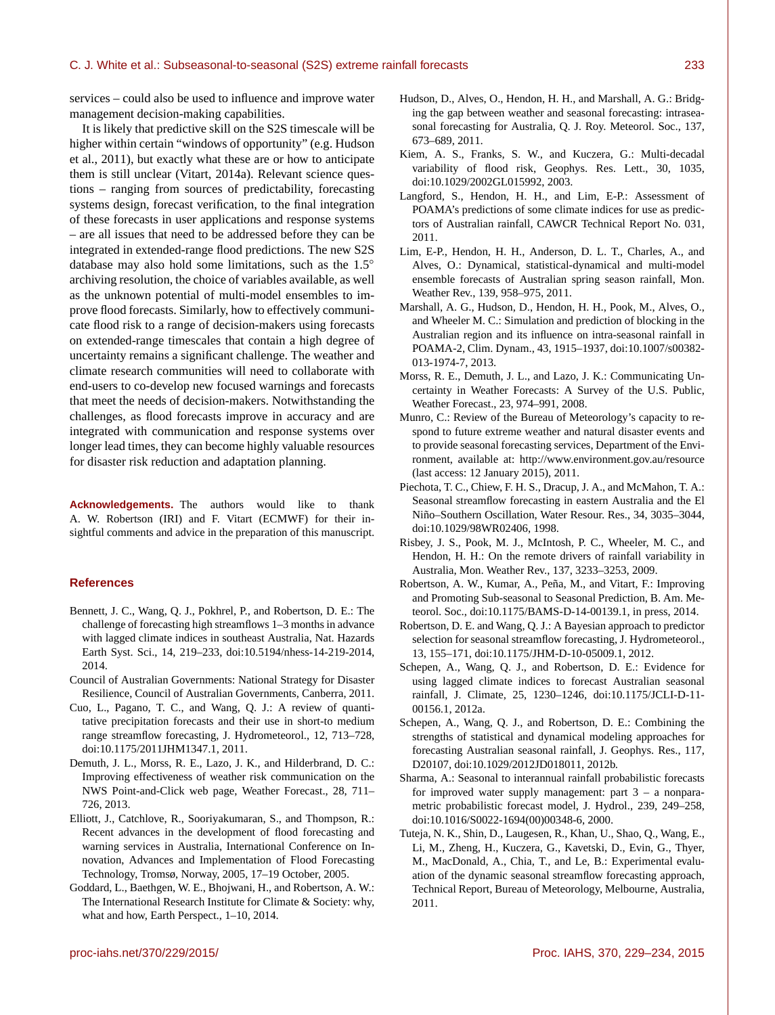services – could also be used to influence and improve water management decision-making capabilities.

It is likely that predictive skill on the S2S timescale will be higher within certain "windows of opportunity" (e.g. Hudson et al., 2011), but exactly what these are or how to anticipate them is still unclear (Vitart, 2014a). Relevant science questions – ranging from sources of predictability, forecasting systems design, forecast verification, to the final integration of these forecasts in user applications and response systems – are all issues that need to be addressed before they can be integrated in extended-range flood predictions. The new S2S database may also hold some limitations, such as the 1.5◦ archiving resolution, the choice of variables available, as well as the unknown potential of multi-model ensembles to improve flood forecasts. Similarly, how to effectively communicate flood risk to a range of decision-makers using forecasts on extended-range timescales that contain a high degree of uncertainty remains a significant challenge. The weather and climate research communities will need to collaborate with end-users to co-develop new focused warnings and forecasts that meet the needs of decision-makers. Notwithstanding the challenges, as flood forecasts improve in accuracy and are integrated with communication and response systems over longer lead times, they can become highly valuable resources for disaster risk reduction and adaptation planning.

**Acknowledgements.** The authors would like to thank A. W. Robertson (IRI) and F. Vitart (ECMWF) for their insightful comments and advice in the preparation of this manuscript.

#### **References**

- Bennett, J. C., Wang, Q. J., Pokhrel, P., and Robertson, D. E.: The challenge of forecasting high streamflows 1–3 months in advance with lagged climate indices in southeast Australia, Nat. Hazards Earth Syst. Sci., 14, 219–233, doi[:10.5194/nhess-14-219-2014,](http://dx.doi.org/10.5194/nhess-14-219-2014) 2014.
- Council of Australian Governments: National Strategy for Disaster Resilience, Council of Australian Governments, Canberra, 2011.
- Cuo, L., Pagano, T. C., and Wang, Q. J.: A review of quantitative precipitation forecasts and their use in short-to medium range streamflow forecasting, J. Hydrometeorol., 12, 713–728, doi[:10.1175/2011JHM1347.1,](http://dx.doi.org/10.1175/2011JHM1347.1) 2011.
- Demuth, J. L., Morss, R. E., Lazo, J. K., and Hilderbrand, D. C.: Improving effectiveness of weather risk communication on the NWS Point-and-Click web page, Weather Forecast., 28, 711– 726, 2013.
- Elliott, J., Catchlove, R., Sooriyakumaran, S., and Thompson, R.: Recent advances in the development of flood forecasting and warning services in Australia, International Conference on Innovation, Advances and Implementation of Flood Forecasting Technology, Tromsø, Norway, 2005, 17–19 October, 2005.
- Goddard, L., Baethgen, W. E., Bhojwani, H., and Robertson, A. W.: The International Research Institute for Climate & Society: why, what and how, Earth Perspect., 1–10, 2014.
- Hudson, D., Alves, O., Hendon, H. H., and Marshall, A. G.: Bridging the gap between weather and seasonal forecasting: intraseasonal forecasting for Australia, Q. J. Roy. Meteorol. Soc., 137, 673–689, 2011.
- Kiem, A. S., Franks, S. W., and Kuczera, G.: Multi-decadal variability of flood risk, Geophys. Res. Lett., 30, 1035, doi[:10.1029/2002GL015992,](http://dx.doi.org/10.1029/2002GL015992) 2003.
- Langford, S., Hendon, H. H., and Lim, E-P.: Assessment of POAMA's predictions of some climate indices for use as predictors of Australian rainfall, CAWCR Technical Report No. 031, 2011.
- Lim, E-P., Hendon, H. H., Anderson, D. L. T., Charles, A., and Alves, O.: Dynamical, statistical-dynamical and multi-model ensemble forecasts of Australian spring season rainfall, Mon. Weather Rev., 139, 958–975, 2011.
- Marshall, A. G., Hudson, D., Hendon, H. H., Pook, M., Alves, O., and Wheeler M. C.: Simulation and prediction of blocking in the Australian region and its influence on intra-seasonal rainfall in POAMA-2, Clim. Dynam., 43, 1915–1937, doi[:10.1007/s00382-](http://dx.doi.org/10.1007/s00382-013-1974-7) [013-1974-7,](http://dx.doi.org/10.1007/s00382-013-1974-7) 2013.
- Morss, R. E., Demuth, J. L., and Lazo, J. K.: Communicating Uncertainty in Weather Forecasts: A Survey of the U.S. Public, Weather Forecast., 23, 974–991, 2008.
- Munro, C.: Review of the Bureau of Meteorology's capacity to respond to future extreme weather and natural disaster events and to provide seasonal forecasting services, Department of the Environment, available at: [http://www.environment.gov.au/resource](http://www.environment.gov.au/resource/review-bureau-meteorologys-extreme-weather-and-seasonal-forecasting-capacity) (last access: 12 January 2015), 2011.
- Piechota, T. C., Chiew, F. H. S., Dracup, J. A., and McMahon, T. A.: Seasonal streamflow forecasting in eastern Australia and the El Niño–Southern Oscillation, Water Resour. Res., 34, 3035–3044, doi[:10.1029/98WR02406,](http://dx.doi.org/10.1029/98WR02406) 1998.
- Risbey, J. S., Pook, M. J., McIntosh, P. C., Wheeler, M. C., and Hendon, H. H.: On the remote drivers of rainfall variability in Australia, Mon. Weather Rev., 137, 3233–3253, 2009.
- Robertson, A. W., Kumar, A., Peña, M., and Vitart, F.: Improving and Promoting Sub-seasonal to Seasonal Prediction, B. Am. Meteorol. Soc., doi[:10.1175/BAMS-D-14-00139.1,](http://dx.doi.org/10.1175/BAMS-D-14-00139.1) in press, 2014.
- Robertson, D. E. and Wang, Q. J.: A Bayesian approach to predictor selection for seasonal streamflow forecasting, J. Hydrometeorol., 13, 155–171, doi[:10.1175/JHM-D-10-05009.1,](http://dx.doi.org/10.1175/JHM-D-10-05009.1) 2012.
- Schepen, A., Wang, Q. J., and Robertson, D. E.: Evidence for using lagged climate indices to forecast Australian seasonal rainfall, J. Climate, 25, 1230–1246, doi[:10.1175/JCLI-D-11-](http://dx.doi.org/10.1175/JCLI-D-11-00156.1) [00156.1,](http://dx.doi.org/10.1175/JCLI-D-11-00156.1) 2012a.
- Schepen, A., Wang, Q. J., and Robertson, D. E.: Combining the strengths of statistical and dynamical modeling approaches for forecasting Australian seasonal rainfall, J. Geophys. Res., 117, D20107, doi[:10.1029/2012JD018011,](http://dx.doi.org/10.1029/2012JD018011) 2012b.
- Sharma, A.: Seasonal to interannual rainfall probabilistic forecasts for improved water supply management: part  $3 - a$  nonparametric probabilistic forecast model, J. Hydrol., 239, 249–258, doi[:10.1016/S0022-1694\(00\)00348-6,](http://dx.doi.org/10.1016/S0022-1694(00)00348-6) 2000.
- Tuteja, N. K., Shin, D., Laugesen, R., Khan, U., Shao, Q., Wang, E., Li, M., Zheng, H., Kuczera, G., Kavetski, D., Evin, G., Thyer, M., MacDonald, A., Chia, T., and Le, B.: Experimental evaluation of the dynamic seasonal streamflow forecasting approach, Technical Report, Bureau of Meteorology, Melbourne, Australia, 2011.